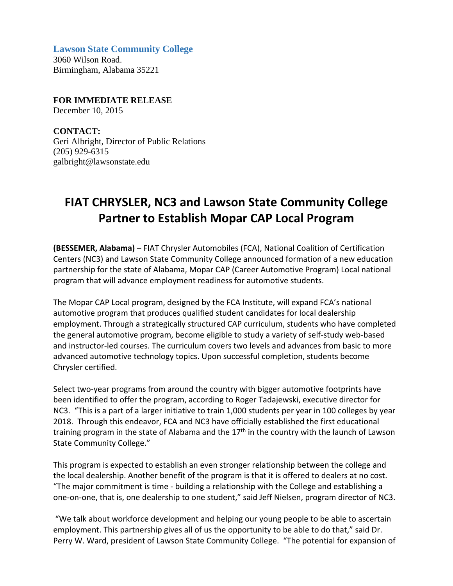**Lawson State Community College**

3060 Wilson Road. Birmingham, Alabama 35221

**FOR IMMEDIATE RELEASE**

December 10, 2015

**CONTACT:** Geri Albright, Director of Public Relations (205) 929-6315 galbright@lawsonstate.edu

## **FIAT CHRYSLER, NC3 and Lawson State Community College Partner to Establish Mopar CAP Local Program**

**(BESSEMER, Alabama)** – FIAT Chrysler Automobiles (FCA), National Coalition of Certification Centers (NC3) and Lawson State Community College announced formation of a new education partnership for the state of Alabama, Mopar CAP (Career Automotive Program) Local national program that will advance employment readiness for automotive students.

The Mopar CAP Local program, designed by the FCA Institute, will expand FCA's national automotive program that produces qualified student candidates for local dealership employment. Through a strategically structured CAP curriculum, students who have completed the general automotive program, become eligible to study a variety of self‐study web‐based and instructor‐led courses. The curriculum covers two levels and advances from basic to more advanced automotive technology topics. Upon successful completion, students become Chrysler certified.

Select two-year programs from around the country with bigger automotive footprints have been identified to offer the program, according to Roger Tadajewski, executive director for NC3. "This is a part of a larger initiative to train 1,000 students per year in 100 colleges by year 2018. Through this endeavor, FCA and NC3 have officially established the first educational training program in the state of Alabama and the  $17<sup>th</sup>$  in the country with the launch of Lawson State Community College."

This program is expected to establish an even stronger relationship between the college and the local dealership. Another benefit of the program is that it is offered to dealers at no cost. "The major commitment is time ‐ building a relationship with the College and establishing a one‐on‐one, that is, one dealership to one student," said Jeff Nielsen, program director of NC3.

"We talk about workforce development and helping our young people to be able to ascertain employment. This partnership gives all of us the opportunity to be able to do that," said Dr. Perry W. Ward, president of Lawson State Community College. "The potential for expansion of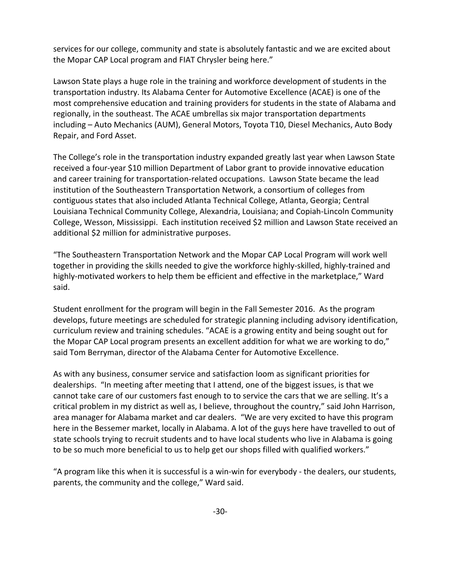services for our college, community and state is absolutely fantastic and we are excited about the Mopar CAP Local program and FIAT Chrysler being here."

Lawson State plays a huge role in the training and workforce development of students in the transportation industry. Its Alabama Center for Automotive Excellence (ACAE) is one of the most comprehensive education and training providers for students in the state of Alabama and regionally, in the southeast. The ACAE umbrellas six major transportation departments including – Auto Mechanics (AUM), General Motors, Toyota T10, Diesel Mechanics, Auto Body Repair, and Ford Asset.

The College's role in the transportation industry expanded greatly last year when Lawson State received a four‐year \$10 million Department of Labor grant to provide innovative education and career training for transportation‐related occupations. Lawson State became the lead institution of the Southeastern Transportation Network, a consortium of colleges from contiguous states that also included Atlanta Technical College, Atlanta, Georgia; Central Louisiana Technical Community College, Alexandria, Louisiana; and Copiah‐Lincoln Community College, Wesson, Mississippi. Each institution received \$2 million and Lawson State received an additional \$2 million for administrative purposes.

"The Southeastern Transportation Network and the Mopar CAP Local Program will work well together in providing the skills needed to give the workforce highly‐skilled, highly‐trained and highly-motivated workers to help them be efficient and effective in the marketplace," Ward said.

Student enrollment for the program will begin in the Fall Semester 2016. As the program develops, future meetings are scheduled for strategic planning including advisory identification, curriculum review and training schedules. "ACAE is a growing entity and being sought out for the Mopar CAP Local program presents an excellent addition for what we are working to do," said Tom Berryman, director of the Alabama Center for Automotive Excellence.

As with any business, consumer service and satisfaction loom as significant priorities for dealerships. "In meeting after meeting that I attend, one of the biggest issues, is that we cannot take care of our customers fast enough to to service the cars that we are selling. It's a critical problem in my district as well as, I believe, throughout the country," said John Harrison, area manager for Alabama market and car dealers. "We are very excited to have this program here in the Bessemer market, locally in Alabama. A lot of the guys here have travelled to out of state schools trying to recruit students and to have local students who live in Alabama is going to be so much more beneficial to us to help get our shops filled with qualified workers."

"A program like this when it is successful is a win‐win for everybody ‐ the dealers, our students, parents, the community and the college," Ward said.